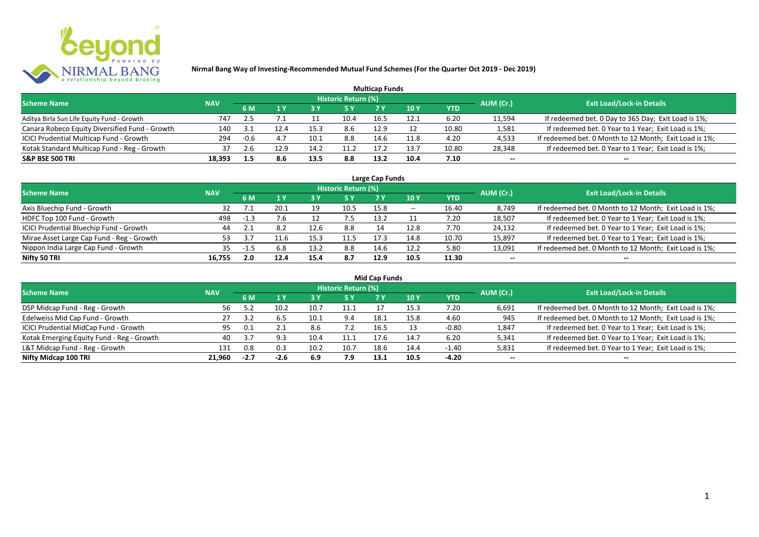

|                                                |            |      |      |      |                            | <b>Multicap Funds</b> |                 |            |           |                                                        |
|------------------------------------------------|------------|------|------|------|----------------------------|-----------------------|-----------------|------------|-----------|--------------------------------------------------------|
| <b>Scheme Name</b>                             | <b>NAV</b> |      |      |      | <b>Historic Return (%)</b> |                       |                 |            | AUM (Cr.) | <b>Exit Load/Lock-in Details</b>                       |
|                                                |            | 6 M  |      | 73 Y |                            |                       | 10 <sub>Y</sub> | <b>YTD</b> |           |                                                        |
| Aditya Birla Sun Life Equity Fund - Growth     | 747        | 2.5  |      |      | 10.4                       | 16.5                  | 12.1            | 6.20       | 11,594    | If redeemed bet. 0 Day to 365 Day; Exit Load is 1%;    |
| Canara Robeco Equity Diversified Fund - Growth | 140        | -21  |      | 15.3 | 8.6                        | 12.9                  |                 | 10.80      | 1,581     | If redeemed bet. 0 Year to 1 Year; Exit Load is 1%;    |
| ICICI Prudential Multicap Fund - Growth        | 294        | -0.6 |      | 10.1 | 8.8                        | 14.6                  | 11.8            | 4.20       | 4,533     | If redeemed bet. 0 Month to 12 Month; Exit Load is 1%; |
| Kotak Standard Multicap Fund - Reg - Growth    | 37         | 2.6  | 12.9 | 14.2 | 11.2                       | 17.2                  | 13.7            | 10.80      | 28,348    | If redeemed bet. 0 Year to 1 Year; Exit Load is 1%;    |
| <b>S&amp;P BSE 500 TRI</b>                     | 18,393     |      | 8.6  | 13.5 | 8.8                        | 13.2                  | 10.4            | 7.10       | $- -$     | --                                                     |

| Large Cap Funds                           |            |      |      |      |                            |      |            |       |           |                                                        |  |  |  |
|-------------------------------------------|------------|------|------|------|----------------------------|------|------------|-------|-----------|--------------------------------------------------------|--|--|--|
| <b>Scheme Name</b>                        | <b>NAV</b> |      |      |      | <b>Historic Return (%)</b> |      |            |       | AUM (Cr.) | <b>Exit Load/Lock-in Details</b>                       |  |  |  |
|                                           |            | 6 M  |      |      | 5 Y                        |      | <b>10Y</b> | YTD   |           |                                                        |  |  |  |
| Axis Bluechip Fund - Growth               | 32         |      | 20.1 | 19   | 10.5                       | 15.8 | $- -$      | 16.40 | 8,749     | If redeemed bet. 0 Month to 12 Month; Exit Load is 1%; |  |  |  |
| HDFC Top 100 Fund - Growth                | 498        | -1.3 | 7.6  |      |                            | 13.2 |            | 7.20  | 18,507    | If redeemed bet. 0 Year to 1 Year; Exit Load is 1%;    |  |  |  |
| ICICI Prudential Bluechip Fund - Growth   | 44         |      | 8.2  | 12.6 | 8.8                        | 14   | 12.8       | 7.70  | 24,132    | If redeemed bet. 0 Year to 1 Year; Exit Load is 1%;    |  |  |  |
| Mirae Asset Large Cap Fund - Reg - Growth | 53.        |      | 11.6 | 15.3 | 11.5                       | 17.3 | 14.8       | 10.70 | 15,897    | If redeemed bet. 0 Year to 1 Year; Exit Load is 1%;    |  |  |  |
| Nippon India Large Cap Fund - Growth      | 35         | -1.5 | 6.8  | 13.2 | 8.8                        | 14.6 | 12.2       | 5.80  | 13,091    | If redeemed bet. 0 Month to 12 Month; Exit Load is 1%; |  |  |  |
| Nifty 50 TRI                              | 16.755     | 2.0  | 12.4 | 15.4 | 8.7                        | 12.9 | 10.5       | 11.30 | $- -$     | $- -$                                                  |  |  |  |

| <b>Mid Cap Funds</b>                      |            |        |      |      |                            |      |      |            |           |                                                        |  |  |  |
|-------------------------------------------|------------|--------|------|------|----------------------------|------|------|------------|-----------|--------------------------------------------------------|--|--|--|
| <b>Scheme Name</b>                        | <b>NAV</b> |        |      |      | <b>Historic Return (%)</b> |      |      |            | AUM (Cr.) | <b>Exit Load/Lock-in Details</b>                       |  |  |  |
|                                           |            | 6 M    |      |      | 5 Y                        | 7 Y  | 10 Y | <b>YTD</b> |           |                                                        |  |  |  |
| DSP Midcap Fund - Reg - Growth            | 56.        |        | 10.2 | 10.7 | 11.1                       |      | 15.3 | 7.20       | 6,691     | If redeemed bet. 0 Month to 12 Month; Exit Load is 1%; |  |  |  |
| Edelweiss Mid Cap Fund - Growth           | 27         |        | 6.5  | 10.1 | 9.4                        | 18.1 | 15.8 | 4.60       | 945       | If redeemed bet. 0 Month to 12 Month; Exit Load is 1%; |  |  |  |
| ICICI Prudential MidCap Fund - Growth     | 95         | 0.1    | 2.1  | 8.6  | 7.2                        | 16.5 |      | $-0.80$    | 1,847     | If redeemed bet. 0 Year to 1 Year; Exit Load is 1%;    |  |  |  |
| Kotak Emerging Equity Fund - Reg - Growth | 40         | 3.7    |      | 10.4 | 11.1                       | 17.6 | 14.7 | 6.20       | 5,341     | If redeemed bet. 0 Year to 1 Year; Exit Load is 1%;    |  |  |  |
| L&T Midcap Fund - Reg - Growth            | 131        | 0.8    | 0.3  | 10.2 | 10.7                       | 18.6 | 14.4 | $-1.40$    | 5,831     | If redeemed bet. 0 Year to 1 Year; Exit Load is 1%;    |  |  |  |
| Nifty Midcap 100 TRI                      | 21.960     | $-2.7$ | -2.6 | 6.9  | 7.9                        | 13.1 | 10.5 | -4.20      | $- -$     | $- -$                                                  |  |  |  |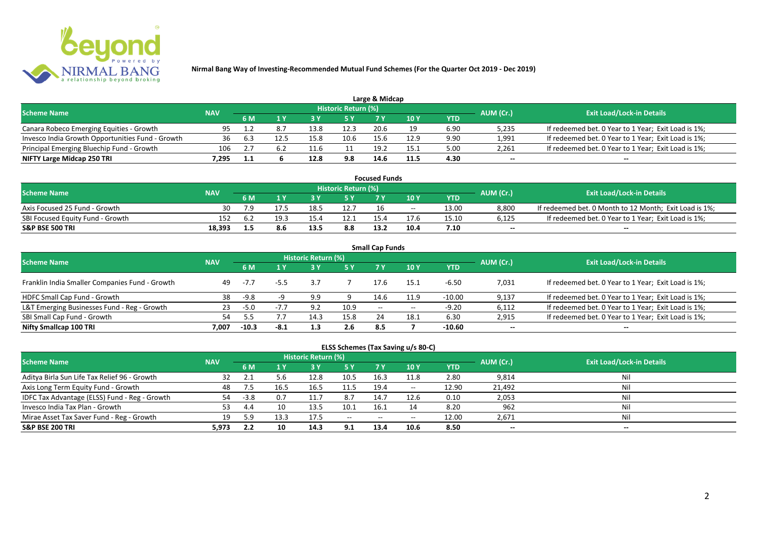

|                                                  |            |     |     |      |                            | Large & Midcap |               |      |           |                                                     |
|--------------------------------------------------|------------|-----|-----|------|----------------------------|----------------|---------------|------|-----------|-----------------------------------------------------|
| <b>Scheme Name</b>                               | <b>NAV</b> |     |     |      | <b>Historic Return (%)</b> |                |               |      | AUM (Cr.) | <b>Exit Load/Lock-in Details</b>                    |
|                                                  |            | 6 M |     |      |                            |                | $\sqrt{10}$ Y | YTD  |           |                                                     |
| Canara Robeco Emerging Equities - Growth         | 95         |     | 8.  | 13.8 | 12.3                       | 20.6           |               | 6.90 | 5,235     | If redeemed bet. 0 Year to 1 Year; Exit Load is 1%; |
| Invesco India Growth Opportunities Fund - Growth | 36         |     |     | 15.8 |                            | 15.6           | 12.9          | 9.90 | 1,991     | If redeemed bet. 0 Year to 1 Year; Exit Load is 1%; |
| Principal Emerging Bluechip Fund - Growth        | 106        |     | 6.2 |      |                            | 19.2           | 15.1          | 5.00 | 2,261     | If redeemed bet. 0 Year to 1 Year; Exit Load is 1%; |
| NIFTY Large Midcap 250 TRI                       | 1.295      | 1.1 |     | 12.8 | 9.8                        | 14.6           | 11.5          | 4.30 | $-$       | $- -$                                               |

| <b>Focused Funds</b>             |            |     |      |      |                     |                 |       |       |           |                                                        |  |  |  |
|----------------------------------|------------|-----|------|------|---------------------|-----------------|-------|-------|-----------|--------------------------------------------------------|--|--|--|
| <b>Scheme Name</b>               | <b>NAV</b> |     |      |      | Historic Return (%) |                 |       |       | AUM (Cr.) | <b>Exit Load/Lock-in Details</b>                       |  |  |  |
|                                  |            | 6 M |      |      | 5 Y                 |                 | 10 Y  | YTD   |           |                                                        |  |  |  |
| Axis Focused 25 Fund - Growth    | 30         |     |      | 18.5 | 12.7                | 16              | $- -$ | 13.00 | 8,800     | If redeemed bet. 0 Month to 12 Month; Exit Load is 1%; |  |  |  |
| SBI Focused Equity Fund - Growth | 152        | 6.4 | 19.5 | 15/  | 12.1                | 15 <sub>L</sub> |       | 15.10 | 6,125     | If redeemed bet. 0 Year to 1 Year; Exit Load is 1%;    |  |  |  |
| <b>S&amp;P BSE 500 TRI</b>       | 18,393     |     |      | 13.5 | 8.8                 | 13.2            | 10.4  | 7.10  | $- -$     | $-$                                                    |  |  |  |

| <b>Small Cap Funds</b>                         |            |         |      |                            |      |                          |       |            |           |                                                     |  |  |  |
|------------------------------------------------|------------|---------|------|----------------------------|------|--------------------------|-------|------------|-----------|-----------------------------------------------------|--|--|--|
| <b>Scheme Name</b>                             | <b>NAV</b> |         |      | <b>Historic Return (%)</b> |      |                          |       |            | AUM (Cr.) | <b>Exit Load/Lock-in Details</b>                    |  |  |  |
|                                                |            | 6 M     |      |                            | 5 Y  | 7Y                       | 10Y   | <b>YTD</b> |           |                                                     |  |  |  |
| Franklin India Smaller Companies Fund - Growth | 49         | $-7.7$  | -5.5 | 3.7                        |      | 17.6                     | 15.1  | $-6.50$    | 7,031     | If redeemed bet. 0 Year to 1 Year; Exit Load is 1%; |  |  |  |
| HDFC Small Cap Fund - Growth                   | 38         | -9.8    |      | 9.9                        |      | 14.6                     | 11.9  | $-10.00$   | 9,137     | If redeemed bet. 0 Year to 1 Year; Exit Load is 1%; |  |  |  |
| L&T Emerging Businesses Fund - Reg - Growth    | 23         | $-5.0$  |      | 9.2                        | 10.9 | $\overline{\phantom{a}}$ | $- -$ | $-9.20$    | 6,112     | If redeemed bet. 0 Year to 1 Year; Exit Load is 1%; |  |  |  |
| SBI Small Cap Fund - Growth                    | 54         |         |      | 14.3                       | 15.8 | 24                       | 18.1  | 6.30       | 2,915     | If redeemed bet. 0 Year to 1 Year; Exit Load is 1%; |  |  |  |
| Nifty Smallcap 100 TRI                         | 7.007      | $-10.3$ | -8.1 |                            | 2.6  | 8.5                      |       | $-10.60$   | $- -$     | $- -$                                               |  |  |  |

## **ELSS Schemes (Tax Saving u/s 80-C)**

| <b>Scheme Name</b>                            | <b>NAV</b> |        |      | <b>Historic Return (%)</b> |           |       |            |       | AUM (Cr.) | <b>Exit Load/Lock-in Details</b> |
|-----------------------------------------------|------------|--------|------|----------------------------|-----------|-------|------------|-------|-----------|----------------------------------|
|                                               |            | 6 M    |      |                            | <b>5Y</b> | 7 Y   | <b>10Y</b> | YTD   |           |                                  |
| Aditya Birla Sun Life Tax Relief 96 - Growth  | 32         |        | 5.6  | 12.8                       | 10.5      | 16.3  | 11.8       | 2.80  | 9,814     | Nil                              |
| Axis Long Term Equity Fund - Growth           | 48         |        | 16.5 | 16.5                       | 11.5      | 19.4  | $- -$      | 12.90 | 21,492    | Nil                              |
| IDFC Tax Advantage (ELSS) Fund - Reg - Growth | 54         | $-3.8$ | 0.7  | 11.7                       | 8.7       | 14.7  | 12.6       | 0.10  | 2,053     | Nil                              |
| Invesco India Tax Plan - Growth               | 53         | 4.4    | 10   | 13.5                       | 10.1      | 16.   |            | 8.20  | 962       | Nil                              |
| Mirae Asset Tax Saver Fund - Reg - Growth     | 19         | 5.9    | 13.3 | 17.5                       | $  \,$    | $- -$ | $- -$      | 12.00 | 2,671     | Nil                              |
| <b>S&amp;P BSE 200 TRI</b>                    | 5.973      | 2.2    | 10   | 14.3                       | 9.1       | 13.4  | 10.6       | 8.50  | $- -$     | $- -$                            |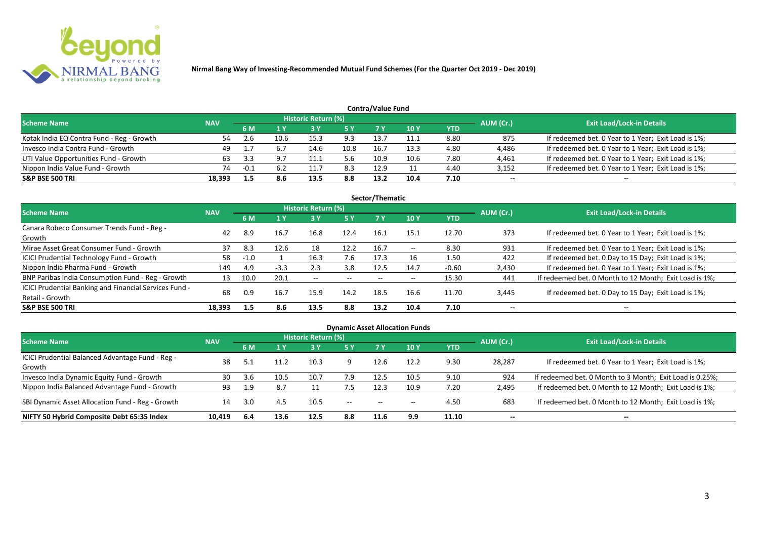

| <b>Contra/Value Fund</b>                  |            |        |      |                            |           |      |      |      |           |                                                     |  |  |  |
|-------------------------------------------|------------|--------|------|----------------------------|-----------|------|------|------|-----------|-----------------------------------------------------|--|--|--|
| <b>Scheme Name</b>                        | <b>NAV</b> |        |      | <b>Historic Return (%)</b> |           |      |      |      | AUM (Cr.) | <b>Exit Load/Lock-in Details</b>                    |  |  |  |
|                                           |            | 6 M    |      |                            | <b>5Y</b> |      | 10 Y | YTD  |           |                                                     |  |  |  |
| Kotak India EQ Contra Fund - Reg - Growth |            |        | 10.6 | 15.3                       | 9.3       | 13.7 | 11.1 | 8.80 | 875       | If redeemed bet. 0 Year to 1 Year; Exit Load is 1%; |  |  |  |
| Invesco India Contra Fund - Growth        | 49         |        | 6.7  | 14.6                       | 10.8      | 16.  | 13.3 | 4.80 | 4,486     | If redeemed bet. 0 Year to 1 Year; Exit Load is 1%; |  |  |  |
| UTI Value Opportunities Fund - Growth     | 63         | 3.3    |      |                            | 5.6       | 10.9 | 10.6 | 7.80 | 4,461     | If redeemed bet. 0 Year to 1 Year; Exit Load is 1%; |  |  |  |
| Nippon India Value Fund - Growth          | 74         | $-0.1$ | 6.2  | <b>.</b> .                 | 8.3       | 12.9 |      | 4.40 | 3,152     | If redeemed bet. 0 Year to 1 Year; Exit Load is 1%; |  |  |  |
| <b>S&amp;P BSE 500 TRI</b>                | 18.393     |        | 8.6  | 13.5                       | 8.8       | 13.2 | 10.4 | 7.10 | $- -$     | $- -$                                               |  |  |  |

| Sector/Thematic                                                           |            |        |        |                            |           |      |       |            |           |                                                        |  |  |  |  |
|---------------------------------------------------------------------------|------------|--------|--------|----------------------------|-----------|------|-------|------------|-----------|--------------------------------------------------------|--|--|--|--|
| Scheme Name                                                               | <b>NAV</b> |        |        | <b>Historic Return (%)</b> |           |      |       |            | AUM (Cr.) | <b>Exit Load/Lock-in Details</b>                       |  |  |  |  |
|                                                                           |            | 6 M    | 1Y     | <b>3 Y</b>                 | <b>5Y</b> | 7 Y  | 10Y   | <b>YTD</b> |           |                                                        |  |  |  |  |
| Canara Robeco Consumer Trends Fund - Reg -<br>Growth                      | 42         | 8.9    | 16.7   | 16.8                       | 12.4      | 16.1 | 15.1  | 12.70      | 373       | If redeemed bet. 0 Year to 1 Year; Exit Load is 1%;    |  |  |  |  |
| Mirae Asset Great Consumer Fund - Growth                                  | 37         | 8.3    | 12.6   | 18                         | 12.2      | 16.7 | $- -$ | 8.30       | 931       | If redeemed bet. 0 Year to 1 Year; Exit Load is 1%;    |  |  |  |  |
| <b>ICICI Prudential Technology Fund - Growth</b>                          | 58         | $-1.0$ |        | 16.3                       | 7.6       | 17.3 | 16    | 1.50       | 422       | If redeemed bet. 0 Day to 15 Day; Exit Load is 1%;     |  |  |  |  |
| Nippon India Pharma Fund - Growth                                         | 149        | 4.9    | $-3.3$ | 2.3                        | 3.8       | 12.5 | 14.7  | $-0.60$    | 2,430     | If redeemed bet. 0 Year to 1 Year; Exit Load is 1%;    |  |  |  |  |
| BNP Paribas India Consumption Fund - Reg - Growth                         | 13         | 10.0   | 20.1   | $- -$                      | $- -$     | $-$  | $- -$ | 15.30      | 441       | If redeemed bet. 0 Month to 12 Month; Exit Load is 1%; |  |  |  |  |
| ICICI Prudential Banking and Financial Services Fund -<br>Retail - Growth | 68         | 0.9    | 16.7   | 15.9                       | 14.2      | 18.5 | 16.6  | 11.70      | 3,445     | If redeemed bet. 0 Day to 15 Day; Exit Load is 1%;     |  |  |  |  |
| <b>S&amp;P BSE 500 TRI</b>                                                | 18.393     | 1.5    | 8.6    | 13.5                       | 8.8       | 13.2 | 10.4  | 7.10       | --        | --                                                     |  |  |  |  |

| <b>Dynamic Asset Allocation Funds</b>                      |            |           |      |                            |         |                          |            |            |           |                                                          |  |  |  |
|------------------------------------------------------------|------------|-----------|------|----------------------------|---------|--------------------------|------------|------------|-----------|----------------------------------------------------------|--|--|--|
| Scheme Name                                                | <b>NAV</b> |           |      | <b>Historic Return (%)</b> |         |                          |            |            |           | <b>Exit Load/Lock-in Details</b>                         |  |  |  |
|                                                            |            | <b>6M</b> | 1 Y  | 3 Y                        | 5 Y     | <b>7Y</b>                | <b>10Y</b> | <b>YTD</b> | AUM (Cr.) |                                                          |  |  |  |
| ICICI Prudential Balanced Advantage Fund - Reg -<br>Growth | 38         |           | 11.2 | 10.3                       |         | 12.6                     | 12.2       | 9.30       | 28,287    | If redeemed bet. 0 Year to 1 Year; Exit Load is 1%;      |  |  |  |
| Invesco India Dynamic Equity Fund - Growth                 | 30         | 3.6       | 10.5 | 10.7                       | 7.9     | 12.5                     | 10.5       | 9.10       | 924       | If redeemed bet. 0 Month to 3 Month; Exit Load is 0.25%; |  |  |  |
| Nippon India Balanced Advantage Fund - Growth              | 93         | 1.9       | 8.7  |                            | 7.5     | 12.3                     | 10.9       | 7.20       | 2,495     | If redeemed bet. 0 Month to 12 Month; Exit Load is 1%;   |  |  |  |
| SBI Dynamic Asset Allocation Fund - Reg - Growth           | 14         | 3.0       | 4.5  | 10.5                       | $-  \,$ | $\hspace{0.05cm} \ldots$ | $- -$      | 4.50       | 683       | If redeemed bet. 0 Month to 12 Month; Exit Load is 1%;   |  |  |  |
| NIFTY 50 Hybrid Composite Debt 65:35 Index                 | 10,419     | -6.4      | 13.6 | 12.5                       | 8.8     | 11.6                     | 9.9        | 11.10      | $- -$     | $- -$                                                    |  |  |  |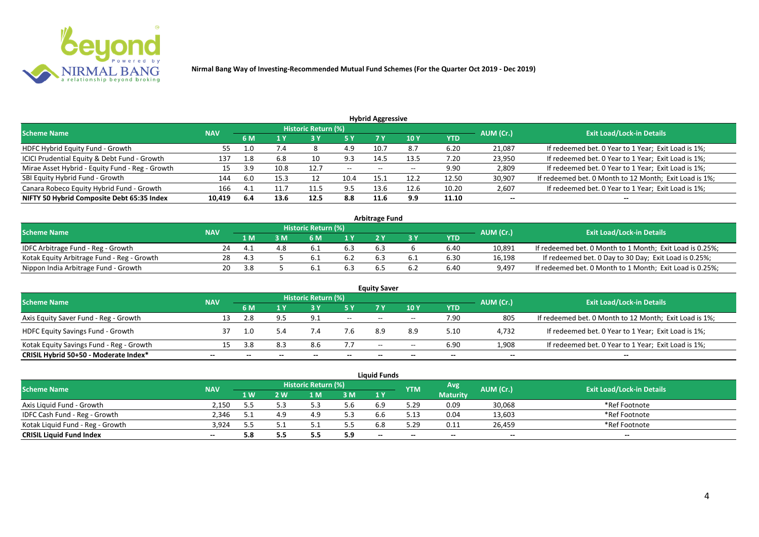

| <b>Hybrid Aggressive</b>                        |            |      |      |                            |               |       |       |            |           |                                                        |  |  |  |  |
|-------------------------------------------------|------------|------|------|----------------------------|---------------|-------|-------|------------|-----------|--------------------------------------------------------|--|--|--|--|
| <b>Scheme Name</b>                              | <b>NAV</b> |      |      | <b>Historic Return (%)</b> |               |       |       |            | AUM (Cr.) | <b>Exit Load/Lock-in Details</b>                       |  |  |  |  |
|                                                 |            | 6 M  | 1 Y  | 13 Y                       | <b>5 Y</b>    | 7 Y   | 10 Y  | <b>YTD</b> |           |                                                        |  |  |  |  |
| HDFC Hybrid Equity Fund - Growth                | 55         | 1.0  | 7.4  | Õ                          | 4.9           | 10.7  | 8.7   | 6.20       | 21,087    | If redeemed bet. 0 Year to 1 Year; Exit Load is 1%;    |  |  |  |  |
| ICICI Prudential Equity & Debt Fund - Growth    | 137        | 1.8  | 6.8  | 10                         | 9.3           | 14.5  | 13.5  | 7.20       | 23,950    | If redeemed bet. 0 Year to 1 Year; Exit Load is 1%;    |  |  |  |  |
| Mirae Asset Hybrid - Equity Fund - Reg - Growth | 15         | 3.9  | 10.8 | 12.7                       | $\sim$ $\sim$ | $- -$ | $- -$ | 9.90       | 2,809     | If redeemed bet. 0 Year to 1 Year; Exit Load is 1%;    |  |  |  |  |
| SBI Equity Hybrid Fund - Growth                 | 144        | 6.0  | 15.3 | ᅩ                          | 10.4          | 15.   | 12.2  | 12.50      | 30,907    | If redeemed bet. 0 Month to 12 Month; Exit Load is 1%; |  |  |  |  |
| Canara Robeco Equity Hybrid Fund - Growth       | 166        | 4.1  | 11.7 | 11.5                       | 9.5           | 13.6  | 12.6  | 10.20      | 2,607     | If redeemed bet. 0 Year to 1 Year; Exit Load is 1%;    |  |  |  |  |
| NIFTY 50 Hybrid Composite Debt 65:35 Index      | 10,419     | -6.4 | 13.6 | 12.5                       | 8.8           | 11.6  | 9.9   | 11.10      | $- -$     | $- -$                                                  |  |  |  |  |

| <b>Arbitrage Fund</b>                      |            |     |     |                            |     |     |  |            |           |                                                          |  |  |  |
|--------------------------------------------|------------|-----|-----|----------------------------|-----|-----|--|------------|-----------|----------------------------------------------------------|--|--|--|
| <b>Scheme Name</b>                         | <b>NAV</b> |     |     | <b>Historic Return (%)</b> |     |     |  |            | AUM (Cr.) | <b>Exit Load/Lock-in Details</b>                         |  |  |  |
|                                            |            | 1 M | M   | ና M                        | 1 V |     |  | <b>YTD</b> |           |                                                          |  |  |  |
| IDFC Arbitrage Fund - Reg - Growth         |            |     | 4.8 |                            | 6.3 | 6.3 |  | 6.40       | 10,891    | If redeemed bet. 0 Month to 1 Month; Exit Load is 0.25%; |  |  |  |
| Kotak Equity Arbitrage Fund - Reg - Growth | 28         |     |     |                            |     |     |  | 6.30       | 16,198    | If redeemed bet. 0 Day to 30 Day; Exit Load is 0.25%;    |  |  |  |
| Nippon India Arbitrage Fund - Growth       | 20.        | 3.8 |     |                            | 6.3 |     |  | 6.40       | 9,497     | If redeemed bet. 0 Month to 1 Month; Exit Load is 0.25%; |  |  |  |

|                                          | <b>Equity Saver</b> |     |     |                     |       |                          |            |            |           |                                                        |  |  |  |  |
|------------------------------------------|---------------------|-----|-----|---------------------|-------|--------------------------|------------|------------|-----------|--------------------------------------------------------|--|--|--|--|
| <b>Scheme Name</b>                       | <b>NAV</b>          |     |     | Historic Return (%) |       |                          |            |            | AUM (Cr.) | <b>Exit Load/Lock-in Details</b>                       |  |  |  |  |
|                                          |                     | 6 M |     |                     |       | 7 V                      | <b>10Y</b> | <b>YTD</b> |           |                                                        |  |  |  |  |
| Axis Equity Saver Fund - Reg - Growth    |                     | 2.8 |     | 9.1                 | $- -$ | $- -$                    | $- -$      | 7.90       | 805       | If redeemed bet. 0 Month to 12 Month; Exit Load is 1%; |  |  |  |  |
| <b>HDFC Equity Savings Fund - Growth</b> |                     | 1.0 |     | 7.4                 | 7.6   | 8.9                      | 8.9        | 5.10       | 4,732     | If redeemed bet. 0 Year to 1 Year; Exit Load is 1%;    |  |  |  |  |
| Kotak Equity Savings Fund - Reg - Growth |                     | 3.8 | 8.3 | 8.6                 | 7.7   | $\overline{\phantom{a}}$ | $- -$      | 6.90       | 1,908     | If redeemed bet. 0 Year to 1 Year; Exit Load is 1%;    |  |  |  |  |
| CRISIL Hybrid 50+50 - Moderate Index*    |                     |     |     | $- -$               | $- -$ |                          | $- -$      | --         | $- -$     | --                                                     |  |  |  |  |

|                                  |            |      |     |                     |                | <b>Liauid Funds</b> |            |                 |           |                                  |
|----------------------------------|------------|------|-----|---------------------|----------------|---------------------|------------|-----------------|-----------|----------------------------------|
| <b>Scheme Name</b>               | <b>NAV</b> |      |     | Historic Return (%) |                |                     | <b>YTM</b> | Avg             | AUM (Cr.) | <b>Exit Load/Lock-in Details</b> |
|                                  |            | '1 W | 2 W | 1 M                 | 3 <sub>M</sub> | 1 Y                 |            | <b>Maturity</b> |           |                                  |
| Axis Liquid Fund - Growth        | 2.150      |      |     |                     | 5.6            | 6.9                 | 5.29       | 0.09            | 30,068    | *Ref Footnote                    |
| IDFC Cash Fund - Reg - Growth    | 2.346      |      |     | 4.9                 | 5.3            | 6.6                 | 5.13       | 0.04            | 13,603    | *Ref Footnote                    |
| Kotak Liquid Fund - Reg - Growth | 3.924      |      |     |                     | כ.כ            | 6.8                 | 5.29       | 0.11            | 26,459    | *Ref Footnote                    |
| <b>CRISIL Liquid Fund Index</b>  | --         | 5.8  | 5.5 |                     | 5.9            | $- -$               | --         | $- -$           | $-$       | $- -$                            |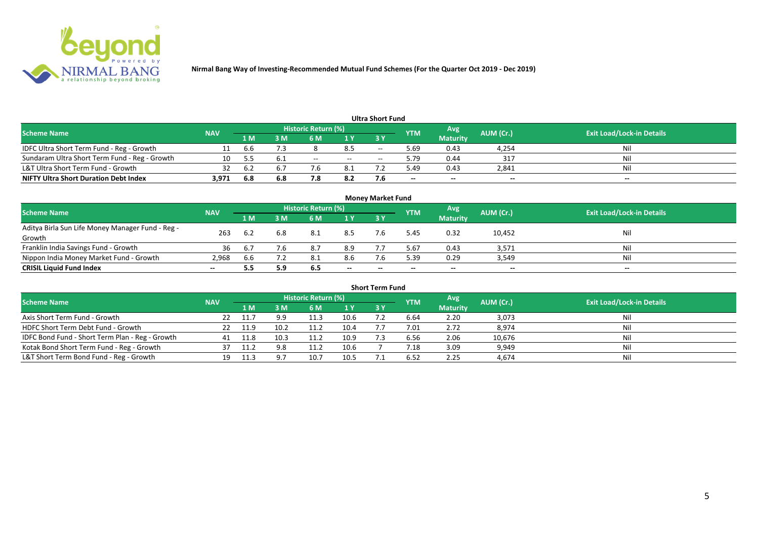

|                                               |            |     |     |                            |                          | Ultra Short Fund         |                          |                 |           |                                  |
|-----------------------------------------------|------------|-----|-----|----------------------------|--------------------------|--------------------------|--------------------------|-----------------|-----------|----------------------------------|
| <b>Scheme Name</b>                            | <b>NAV</b> |     |     | <b>Historic Return (%)</b> |                          |                          | <b>YTM</b>               | Avg             | AUM (Cr.) | <b>Exit Load/Lock-in Details</b> |
|                                               |            | 1 M | : M | 6 M                        | 1 Y                      | 3 Y                      |                          | <b>Maturity</b> |           |                                  |
| IDFC Ultra Short Term Fund - Reg - Growth     |            | b.b |     |                            | 8.5                      | $-$                      | 5.69                     | 0.43            | 4,254     | Nil                              |
| Sundaram Ultra Short Term Fund - Reg - Growth | 10         | -55 | 6.1 | $- -$                      | $\overline{\phantom{a}}$ | $\overline{\phantom{a}}$ | 9.79                     | 0.44            | 317       | Nil                              |
| L&T Ultra Short Term Fund - Growth            | 32         |     |     |                            | 8.1                      |                          | 49ء                      | 0.43            | 2,841     | Nil                              |
| <b>NIFTY Ultra Short Duration Debt Index</b>  | 3.971      | 6.8 | 6.8 | 7.8                        | 8.2                      |                          | $\overline{\phantom{a}}$ | $- -$           | $-$       | $- -$                            |

| <b>Money Market Fund</b>                                   |            |                |                                           |     |       |           |                                  |                 |        |       |  |  |  |
|------------------------------------------------------------|------------|----------------|-------------------------------------------|-----|-------|-----------|----------------------------------|-----------------|--------|-------|--|--|--|
| <b>Scheme Name</b>                                         | <b>NAV</b> |                | Historic Return (%)<br>Avg'<br><b>YTM</b> |     |       | AUM (Cr.) | <b>Exit Load/Lock-in Details</b> |                 |        |       |  |  |  |
|                                                            |            | 1 <sub>M</sub> | MК                                        | 6 M | 1Y    | -3 Y      |                                  | <b>Maturity</b> |        |       |  |  |  |
| Aditya Birla Sun Life Money Manager Fund - Reg -<br>Growth | 263        | 6.2            | 6.8                                       | 8.1 | 8.5   |           | 5.45                             | 0.32            | 10,452 | Nil   |  |  |  |
| Franklin India Savings Fund - Growth                       | 36         | -6.7           | 7.6                                       | 8.7 | 8.9   |           | 5.67                             | 0.43            | 3,571  | Nil   |  |  |  |
| Nippon India Money Market Fund - Growth                    | 2,968      | b.b            |                                           |     | 8.6   |           | 5.39                             | 0.29            | 3,549  | Nil   |  |  |  |
| <b>CRISIL Liquid Fund Index</b>                            | $- -$      | 5.5            | 5.9                                       | 6.5 | $- -$ | $- -$     | $- -$                            | $- -$           | $- -$  | $- -$ |  |  |  |

| <b>Short Term Fund</b>                          |            |      |      |                            |      |           |            |                 |           |                                  |  |  |  |
|-------------------------------------------------|------------|------|------|----------------------------|------|-----------|------------|-----------------|-----------|----------------------------------|--|--|--|
| <b>Scheme Name</b>                              | <b>NAV</b> |      |      | <b>Historic Return (%)</b> |      |           | <b>YTM</b> | Avg             | AUM (Cr.) | <b>Exit Load/Lock-in Details</b> |  |  |  |
|                                                 |            | 1 M  | 3 M  | 6 M                        | 1Y   | <b>3Y</b> |            | <b>Maturity</b> |           |                                  |  |  |  |
| Axis Short Term Fund - Growth                   | 22         |      | 9.9  | 11.3                       | 10.6 |           | 6.64       | 2.20            | 3,073     | Nil                              |  |  |  |
| HDFC Short Term Debt Fund - Growth              |            | 11.9 | 10.2 | 11.2                       | 10.4 |           | 7.01       | 2.72            | 8,974     | Nil                              |  |  |  |
| IDFC Bond Fund - Short Term Plan - Reg - Growth | 41         | 11.8 | 10.3 | 11.2                       | 10.9 |           | 6.56       | 2.06            | 10,676    | Nil                              |  |  |  |
| Kotak Bond Short Term Fund - Reg - Growth       |            |      |      |                            | 10.6 |           | 7.18       | 3.09            | 9,949     | Nil                              |  |  |  |
| L&T Short Term Bond Fund - Reg - Growth         | 19         | 11.3 |      | 10.7                       | 10.5 |           | 6.52       | 2.25            | 4,674     | Nil                              |  |  |  |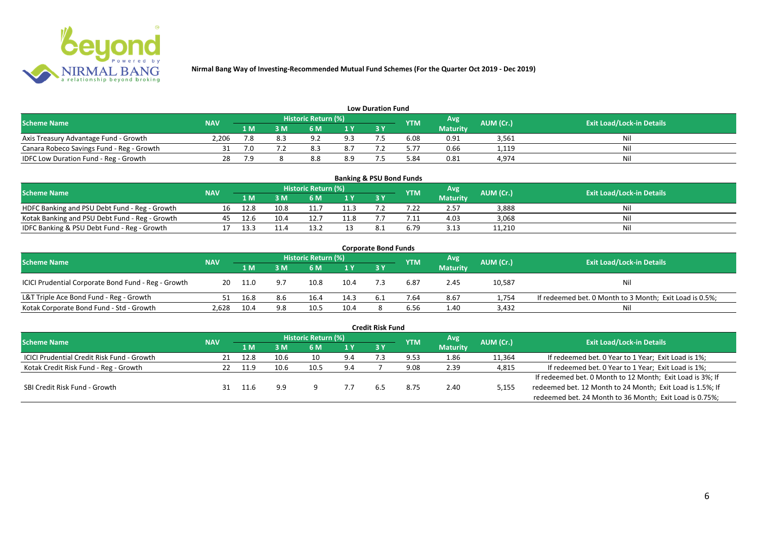

| <b>Low Duration Fund</b>                  |            |     |     |                            |     |      |            |                 |           |                                  |  |  |  |
|-------------------------------------------|------------|-----|-----|----------------------------|-----|------|------------|-----------------|-----------|----------------------------------|--|--|--|
| <b>Scheme Name</b>                        | <b>NAV</b> |     |     | <b>Historic Return (%)</b> |     |      | <b>YTM</b> | Avg             | AUM (Cr.) | <b>Exit Load/Lock-in Details</b> |  |  |  |
|                                           |            | 1 M | 3 M |                            | 1Y  | 73 Y |            | <b>Maturity</b> |           |                                  |  |  |  |
| Axis Treasury Advantage Fund - Growth     | 2.206      | 7.8 |     | റാ                         | 9.3 |      | 6.08       | 0.91            | 3,561     | Ni                               |  |  |  |
| Canara Robeco Savings Fund - Reg - Growth |            | 7.0 |     |                            | 8.7 |      | 5.77       | 0.66            | 1,119     | Nil                              |  |  |  |
| IDFC Low Duration Fund - Reg - Growth     |            | 7.9 |     | ه.ه                        | 8.9 |      | 84.د       | 0.81            | 4,974     | Nil                              |  |  |  |

| <b>Banking &amp; PSU Bond Funds</b>            |            |      |      |                            |      |            |            |                 |           |                                  |  |  |  |
|------------------------------------------------|------------|------|------|----------------------------|------|------------|------------|-----------------|-----------|----------------------------------|--|--|--|
| <b>Scheme Name</b>                             | <b>NAV</b> |      |      | <b>Historic Return (%)</b> |      |            | <b>YTM</b> | Avg             | AUM (Cr.) | <b>Exit Load/Lock-in Details</b> |  |  |  |
|                                                |            | 1 M  |      | 6 M                        |      | <b>3 Y</b> |            | <b>Maturity</b> |           |                                  |  |  |  |
| HDFC Banking and PSU Debt Fund - Reg - Growth  | 16         | 12.8 | 10.8 |                            | 11.3 |            |            | 2.57            | 3,888     | Nil                              |  |  |  |
| Kotak Banking and PSU Debt Fund - Reg - Growth | 45         | 12.6 | 10.4 | 12.7                       | 11.8 |            |            | 4.03            | 3,068     | Nil                              |  |  |  |
| IDFC Banking & PSU Debt Fund - Reg - Growth    |            | 13.3 |      |                            |      |            | 6.79       | 3.13            | 11,210    | Nil                              |  |  |  |

| <b>Corporate Bond Funds</b>                         |            |      |     |                            |                |     |      |                 |           |                                                         |  |  |  |
|-----------------------------------------------------|------------|------|-----|----------------------------|----------------|-----|------|-----------------|-----------|---------------------------------------------------------|--|--|--|
| <b>Scheme Name</b>                                  | <b>NAV</b> |      |     | <b>Historic Return (%)</b> |                |     | YTM  | Avg             | AUM (Cr.) | <b>Exit Load/Lock-in Details</b>                        |  |  |  |
|                                                     |            | 1 M  | : M | 6 M                        | 1 <sup>Y</sup> | 3 Y |      | <b>Maturity</b> |           |                                                         |  |  |  |
| ICICI Prudential Corporate Bond Fund - Reg - Growth | 20         | 11.0 |     | 10.8                       | 10.4           |     | 6.87 | 2.45            | 10,587    | <b>Nil</b>                                              |  |  |  |
| L&T Triple Ace Bond Fund - Reg - Growth             |            | 16.8 | 8.6 | 16.4                       | 14.3           |     | 7.64 | 8.67            | 1,754     | If redeemed bet. 0 Month to 3 Month; Exit Load is 0.5%; |  |  |  |
| Kotak Corporate Bond Fund - Std - Growth            | 2,628      | 10.4 | 9.8 | 10.5                       | 10.4           |     | 6.56 | 1.40            | 3,432     | Nil                                                     |  |  |  |

|                                                   |            |      |      |                            |      | <b>Credit Risk Fund</b> |            |                 |           |                                                           |
|---------------------------------------------------|------------|------|------|----------------------------|------|-------------------------|------------|-----------------|-----------|-----------------------------------------------------------|
| <b>Scheme Name</b>                                | <b>NAV</b> |      |      | <b>Historic Return (%)</b> |      |                         | <b>YTM</b> | Avg             | AUM (Cr.) | <b>Exit Load/Lock-in Details</b>                          |
|                                                   |            | 1 M  | 3 M  | 6 M                        | 71 Y | 3 Y                     |            | <b>Maturity</b> |           |                                                           |
| <b>ICICI Prudential Credit Risk Fund - Growth</b> | 21         | 12.8 | 10.6 | 10                         | 9.4  |                         | 9.53       | 1.86            | 11,364    | If redeemed bet. 0 Year to 1 Year; Exit Load is 1%;       |
| Kotak Credit Risk Fund - Reg - Growth             |            | 11.9 | 10.6 | 10.5                       | 9.4  |                         | 9.08       | 2.39            | 4,815     | If redeemed bet. 0 Year to 1 Year; Exit Load is 1%;       |
|                                                   |            |      |      |                            |      |                         |            |                 |           | If redeemed bet. 0 Month to 12 Month; Exit Load is 3%; If |
| SBI Credit Risk Fund - Growth                     |            |      | 9.9  |                            |      | 6.5                     | 8.75       | 2.40            | 5,155     | redeemed bet. 12 Month to 24 Month; Exit Load is 1.5%; If |
|                                                   |            |      |      |                            |      |                         |            |                 |           | redeemed bet. 24 Month to 36 Month; Exit Load is 0.75%;   |